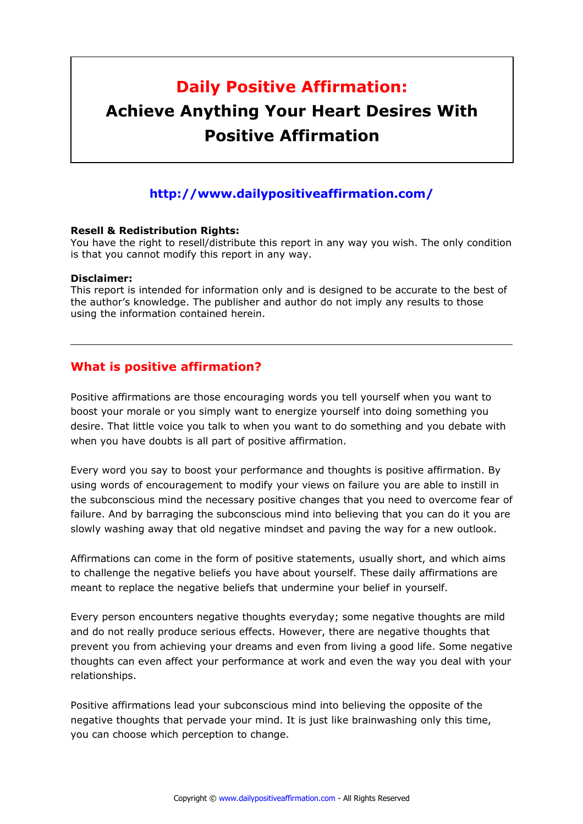# **Daily Positive Affirmation: Achieve Anything Your Heart Desires With**

## **Positive Affirmation**

## **<http://www.dailypositiveaffirmation.com/>**

#### **Resell & Redistribution Rights:**

You have the right to resell/distribute this report in any way you wish. The only condition is that you cannot modify this report in any way.

#### **Disclaimer:**

This report is intended for information only and is designed to be accurate to the best of the author's knowledge. The publisher and author do not imply any results to those using the information contained herein.

## **What is positive affirmation?**

Positive affirmations are those encouraging words you tell yourself when you want to boost your morale or you simply want to energize yourself into doing something you desire. That little voice you talk to when you want to do something and you debate with when you have doubts is all part of positive affirmation.

Every word you say to boost your performance and thoughts is positive affirmation. By using words of encouragement to modify your views on failure you are able to instill in the subconscious mind the necessary positive changes that you need to overcome fear of failure. And by barraging the subconscious mind into believing that you can do it you are slowly washing away that old negative mindset and paving the way for a new outlook.

Affirmations can come in the form of positive statements, usually short, and which aims to challenge the negative beliefs you have about yourself. These daily affirmations are meant to replace the negative beliefs that undermine your belief in yourself.

Every person encounters negative thoughts everyday; some negative thoughts are mild and do not really produce serious effects. However, there are negative thoughts that prevent you from achieving your dreams and even from living a good life. Some negative thoughts can even affect your performance at work and even the way you deal with your relationships.

Positive affirmations lead your subconscious mind into believing the opposite of the negative thoughts that pervade your mind. It is just like brainwashing only this time, you can choose which perception to change.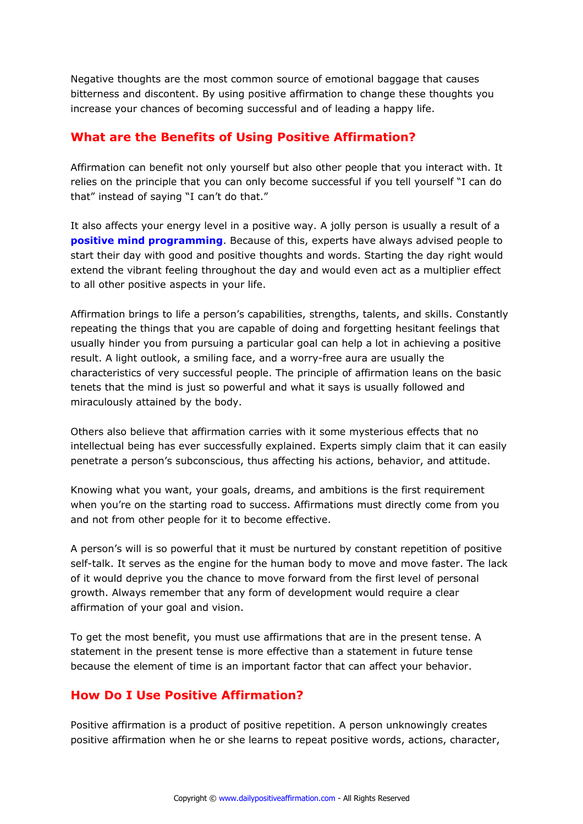Negative thoughts are the most common source of emotional baggage that causes bitterness and discontent. By using positive affirmation to change these thoughts you increase your chances of becoming successful and of leading a happy life.

## **What are the Benefits of Using Positive Affirmation?**

Affirmation can benefit not only yourself but also other people that you interact with. It relies on the principle that you can only become successful if you tell yourself "I can do that" instead of saying "I can't do that."

It also affects your energy level in a positive way. A jolly person is usually a result of a **[positive mind programming](http://www.dailypositiveaffirmation.com/salespage.html)**. Because of this, experts have always advised people to start their day with good and positive thoughts and words. Starting the day right would extend the vibrant feeling throughout the day and would even act as a multiplier effect to all other positive aspects in your life.

Affirmation brings to life a person's capabilities, strengths, talents, and skills. Constantly repeating the things that you are capable of doing and forgetting hesitant feelings that usually hinder you from pursuing a particular goal can help a lot in achieving a positive result. A light outlook, a smiling face, and a worry-free aura are usually the characteristics of very successful people. The principle of affirmation leans on the basic tenets that the mind is just so powerful and what it says is usually followed and miraculously attained by the body.

Others also believe that affirmation carries with it some mysterious effects that no intellectual being has ever successfully explained. Experts simply claim that it can easily penetrate a person's subconscious, thus affecting his actions, behavior, and attitude.

Knowing what you want, your goals, dreams, and ambitions is the first requirement when you're on the starting road to success. Affirmations must directly come from you and not from other people for it to become effective.

A person's will is so powerful that it must be nurtured by constant repetition of positive self-talk. It serves as the engine for the human body to move and move faster. The lack of it would deprive you the chance to move forward from the first level of personal growth. Always remember that any form of development would require a clear affirmation of your goal and vision.

To get the most benefit, you must use affirmations that are in the present tense. A statement in the present tense is more effective than a statement in future tense because the element of time is an important factor that can affect your behavior.

## **How Do I Use Positive Affirmation?**

Positive affirmation is a product of positive repetition. A person unknowingly creates positive affirmation when he or she learns to repeat positive words, actions, character,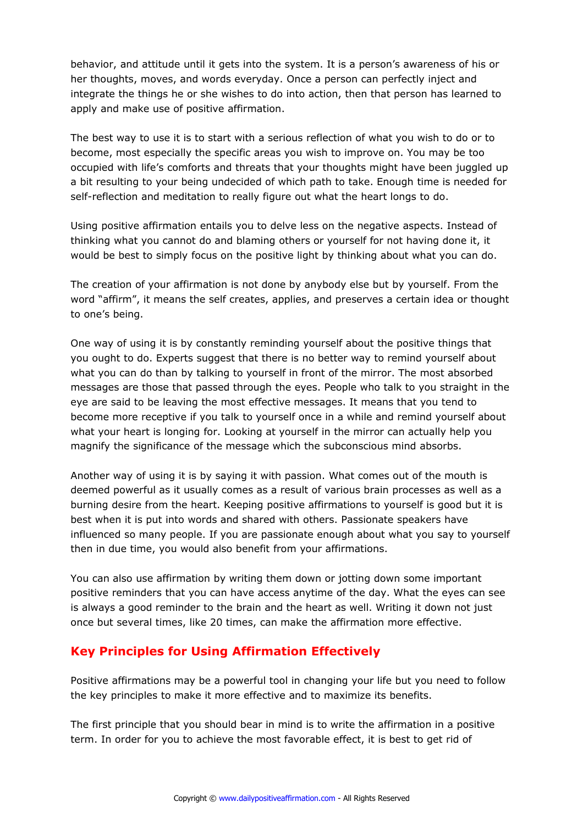behavior, and attitude until it gets into the system. It is a person's awareness of his or her thoughts, moves, and words everyday. Once a person can perfectly inject and integrate the things he or she wishes to do into action, then that person has learned to apply and make use of positive affirmation.

The best way to use it is to start with a serious reflection of what you wish to do or to become, most especially the specific areas you wish to improve on. You may be too occupied with life's comforts and threats that your thoughts might have been juggled up a bit resulting to your being undecided of which path to take. Enough time is needed for self-reflection and meditation to really figure out what the heart longs to do.

Using positive affirmation entails you to delve less on the negative aspects. Instead of thinking what you cannot do and blaming others or yourself for not having done it, it would be best to simply focus on the positive light by thinking about what you can do.

The creation of your affirmation is not done by anybody else but by yourself. From the word "affirm", it means the self creates, applies, and preserves a certain idea or thought to one's being.

One way of using it is by constantly reminding yourself about the positive things that you ought to do. Experts suggest that there is no better way to remind yourself about what you can do than by talking to yourself in front of the mirror. The most absorbed messages are those that passed through the eyes. People who talk to you straight in the eye are said to be leaving the most effective messages. It means that you tend to become more receptive if you talk to yourself once in a while and remind yourself about what your heart is longing for. Looking at yourself in the mirror can actually help you magnify the significance of the message which the subconscious mind absorbs.

Another way of using it is by saying it with passion. What comes out of the mouth is deemed powerful as it usually comes as a result of various brain processes as well as a burning desire from the heart. Keeping positive affirmations to yourself is good but it is best when it is put into words and shared with others. Passionate speakers have influenced so many people. If you are passionate enough about what you say to yourself then in due time, you would also benefit from your affirmations.

You can also use affirmation by writing them down or jotting down some important positive reminders that you can have access anytime of the day. What the eyes can see is always a good reminder to the brain and the heart as well. Writing it down not just once but several times, like 20 times, can make the affirmation more effective.

### **Key Principles for Using Affirmation Effectively**

Positive affirmations may be a powerful tool in changing your life but you need to follow the key principles to make it more effective and to maximize its benefits.

The first principle that you should bear in mind is to write the affirmation in a positive term. In order for you to achieve the most favorable effect, it is best to get rid of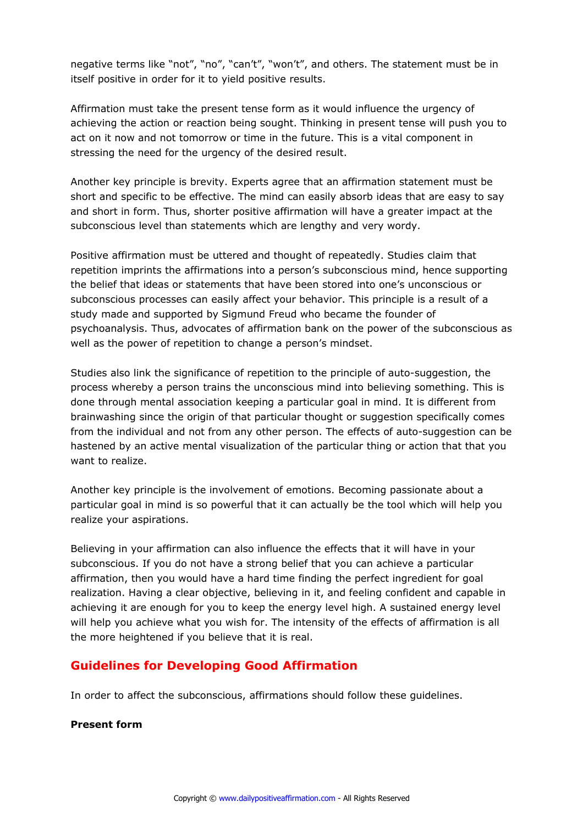negative terms like "not", "no", "can't", "won't", and others. The statement must be in itself positive in order for it to yield positive results.

Affirmation must take the present tense form as it would influence the urgency of achieving the action or reaction being sought. Thinking in present tense will push you to act on it now and not tomorrow or time in the future. This is a vital component in stressing the need for the urgency of the desired result.

Another key principle is brevity. Experts agree that an affirmation statement must be short and specific to be effective. The mind can easily absorb ideas that are easy to say and short in form. Thus, shorter positive affirmation will have a greater impact at the subconscious level than statements which are lengthy and very wordy.

Positive affirmation must be uttered and thought of repeatedly. Studies claim that repetition imprints the affirmations into a person's subconscious mind, hence supporting the belief that ideas or statements that have been stored into one's unconscious or subconscious processes can easily affect your behavior. This principle is a result of a study made and supported by Sigmund Freud who became the founder of psychoanalysis. Thus, advocates of affirmation bank on the power of the subconscious as well as the power of repetition to change a person's mindset.

Studies also link the significance of repetition to the principle of auto-suggestion, the process whereby a person trains the unconscious mind into believing something. This is done through mental association keeping a particular goal in mind. It is different from brainwashing since the origin of that particular thought or suggestion specifically comes from the individual and not from any other person. The effects of auto-suggestion can be hastened by an active mental visualization of the particular thing or action that that you want to realize.

Another key principle is the involvement of emotions. Becoming passionate about a particular goal in mind is so powerful that it can actually be the tool which will help you realize your aspirations.

Believing in your affirmation can also influence the effects that it will have in your subconscious. If you do not have a strong belief that you can achieve a particular affirmation, then you would have a hard time finding the perfect ingredient for goal realization. Having a clear objective, believing in it, and feeling confident and capable in achieving it are enough for you to keep the energy level high. A sustained energy level will help you achieve what you wish for. The intensity of the effects of affirmation is all the more heightened if you believe that it is real.

## **Guidelines for Developing Good Affirmation**

In order to affect the subconscious, affirmations should follow these guidelines.

#### **Present form**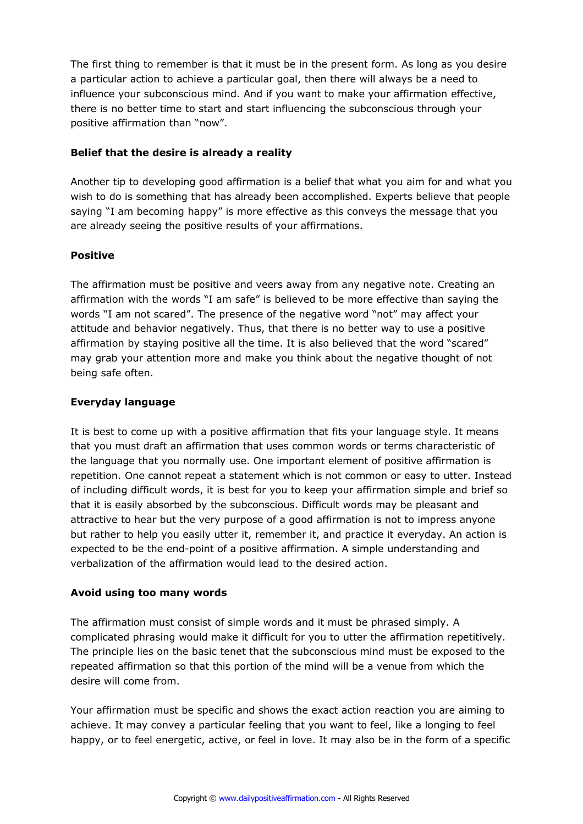The first thing to remember is that it must be in the present form. As long as you desire a particular action to achieve a particular goal, then there will always be a need to influence your subconscious mind. And if you want to make your affirmation effective, there is no better time to start and start influencing the subconscious through your positive affirmation than "now".

#### **Belief that the desire is already a reality**

Another tip to developing good affirmation is a belief that what you aim for and what you wish to do is something that has already been accomplished. Experts believe that people saying "I am becoming happy" is more effective as this conveys the message that you are already seeing the positive results of your affirmations.

#### **Positive**

The affirmation must be positive and veers away from any negative note. Creating an affirmation with the words "I am safe" is believed to be more effective than saying the words "I am not scared". The presence of the negative word "not" may affect your attitude and behavior negatively. Thus, that there is no better way to use a positive affirmation by staying positive all the time. It is also believed that the word "scared" may grab your attention more and make you think about the negative thought of not being safe often.

#### **Everyday language**

It is best to come up with a positive affirmation that fits your language style. It means that you must draft an affirmation that uses common words or terms characteristic of the language that you normally use. One important element of positive affirmation is repetition. One cannot repeat a statement which is not common or easy to utter. Instead of including difficult words, it is best for you to keep your affirmation simple and brief so that it is easily absorbed by the subconscious. Difficult words may be pleasant and attractive to hear but the very purpose of a good affirmation is not to impress anyone but rather to help you easily utter it, remember it, and practice it everyday. An action is expected to be the end-point of a positive affirmation. A simple understanding and verbalization of the affirmation would lead to the desired action.

#### **Avoid using too many words**

The affirmation must consist of simple words and it must be phrased simply. A complicated phrasing would make it difficult for you to utter the affirmation repetitively. The principle lies on the basic tenet that the subconscious mind must be exposed to the repeated affirmation so that this portion of the mind will be a venue from which the desire will come from.

Your affirmation must be specific and shows the exact action reaction you are aiming to achieve. It may convey a particular feeling that you want to feel, like a longing to feel happy, or to feel energetic, active, or feel in love. It may also be in the form of a specific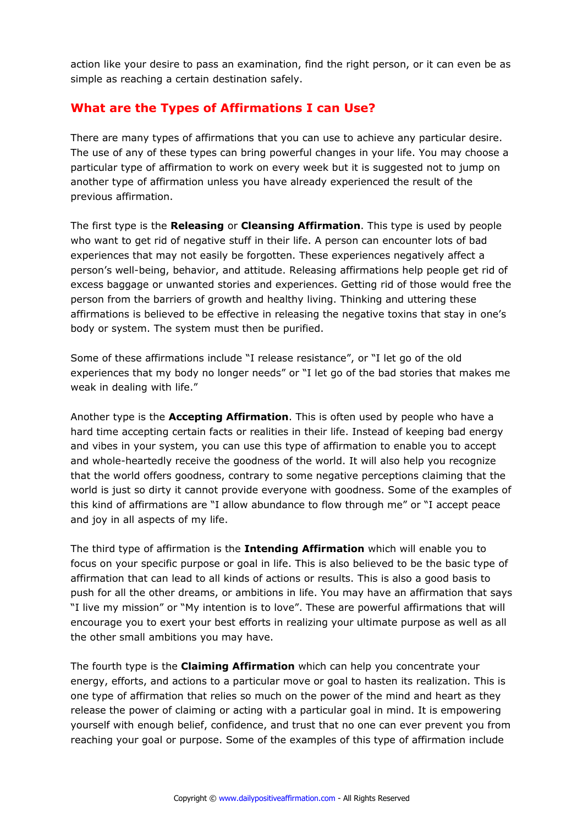action like your desire to pass an examination, find the right person, or it can even be as simple as reaching a certain destination safely.

## **What are the Types of Affirmations I can Use?**

There are many types of affirmations that you can use to achieve any particular desire. The use of any of these types can bring powerful changes in your life. You may choose a particular type of affirmation to work on every week but it is suggested not to jump on another type of affirmation unless you have already experienced the result of the previous affirmation.

The first type is the **Releasing** or **Cleansing Affirmation**. This type is used by people who want to get rid of negative stuff in their life. A person can encounter lots of bad experiences that may not easily be forgotten. These experiences negatively affect a person's well-being, behavior, and attitude. Releasing affirmations help people get rid of excess baggage or unwanted stories and experiences. Getting rid of those would free the person from the barriers of growth and healthy living. Thinking and uttering these affirmations is believed to be effective in releasing the negative toxins that stay in one's body or system. The system must then be purified.

Some of these affirmations include "I release resistance", or "I let go of the old experiences that my body no longer needs" or "I let go of the bad stories that makes me weak in dealing with life."

Another type is the **Accepting Affirmation**. This is often used by people who have a hard time accepting certain facts or realities in their life. Instead of keeping bad energy and vibes in your system, you can use this type of affirmation to enable you to accept and whole-heartedly receive the goodness of the world. It will also help you recognize that the world offers goodness, contrary to some negative perceptions claiming that the world is just so dirty it cannot provide everyone with goodness. Some of the examples of this kind of affirmations are "I allow abundance to flow through me" or "I accept peace and joy in all aspects of my life.

The third type of affirmation is the **Intending Affirmation** which will enable you to focus on your specific purpose or goal in life. This is also believed to be the basic type of affirmation that can lead to all kinds of actions or results. This is also a good basis to push for all the other dreams, or ambitions in life. You may have an affirmation that says "I live my mission" or "My intention is to love". These are powerful affirmations that will encourage you to exert your best efforts in realizing your ultimate purpose as well as all the other small ambitions you may have.

The fourth type is the **Claiming Affirmation** which can help you concentrate your energy, efforts, and actions to a particular move or goal to hasten its realization. This is one type of affirmation that relies so much on the power of the mind and heart as they release the power of claiming or acting with a particular goal in mind. It is empowering yourself with enough belief, confidence, and trust that no one can ever prevent you from reaching your goal or purpose. Some of the examples of this type of affirmation include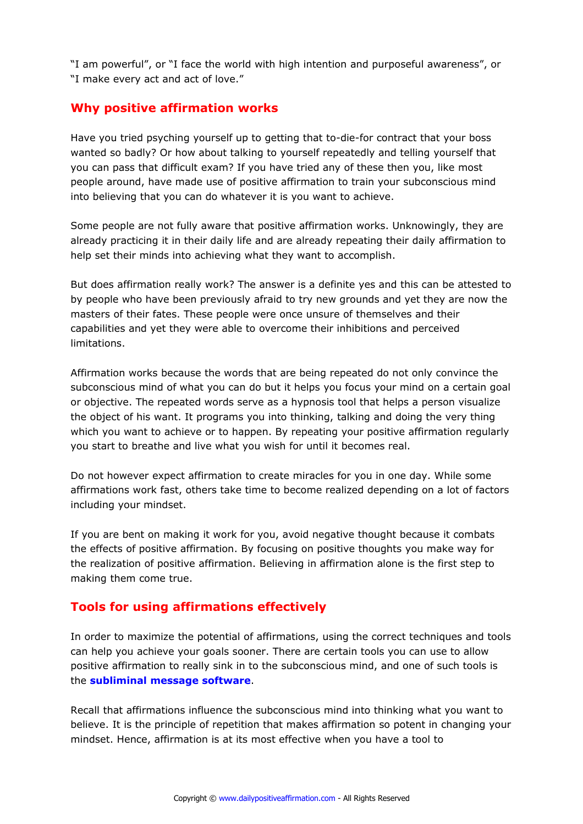"I am powerful", or "I face the world with high intention and purposeful awareness", or "I make every act and act of love."

## **Why positive affirmation works**

Have you tried psyching yourself up to getting that to-die-for contract that your boss wanted so badly? Or how about talking to yourself repeatedly and telling yourself that you can pass that difficult exam? If you have tried any of these then you, like most people around, have made use of positive affirmation to train your subconscious mind into believing that you can do whatever it is you want to achieve.

Some people are not fully aware that positive affirmation works. Unknowingly, they are already practicing it in their daily life and are already repeating their daily affirmation to help set their minds into achieving what they want to accomplish.

But does affirmation really work? The answer is a definite yes and this can be attested to by people who have been previously afraid to try new grounds and yet they are now the masters of their fates. These people were once unsure of themselves and their capabilities and yet they were able to overcome their inhibitions and perceived limitations.

Affirmation works because the words that are being repeated do not only convince the subconscious mind of what you can do but it helps you focus your mind on a certain goal or objective. The repeated words serve as a hypnosis tool that helps a person visualize the object of his want. It programs you into thinking, talking and doing the very thing which you want to achieve or to happen. By repeating your positive affirmation regularly you start to breathe and live what you wish for until it becomes real.

Do not however expect affirmation to create miracles for you in one day. While some affirmations work fast, others take time to become realized depending on a lot of factors including your mindset.

If you are bent on making it work for you, avoid negative thought because it combats the effects of positive affirmation. By focusing on positive thoughts you make way for the realization of positive affirmation. Believing in affirmation alone is the first step to making them come true.

## **Tools for using affirmations effectively**

In order to maximize the potential of affirmations, using the correct techniques and tools can help you achieve your goals sooner. There are certain tools you can use to allow positive affirmation to really sink in to the subconscious mind, and one of such tools is the **[subliminal message software](http://www.dailypositiveaffirmation.com/salespage.html)**.

Recall that affirmations influence the subconscious mind into thinking what you want to believe. It is the principle of repetition that makes affirmation so potent in changing your mindset. Hence, affirmation is at its most effective when you have a tool to